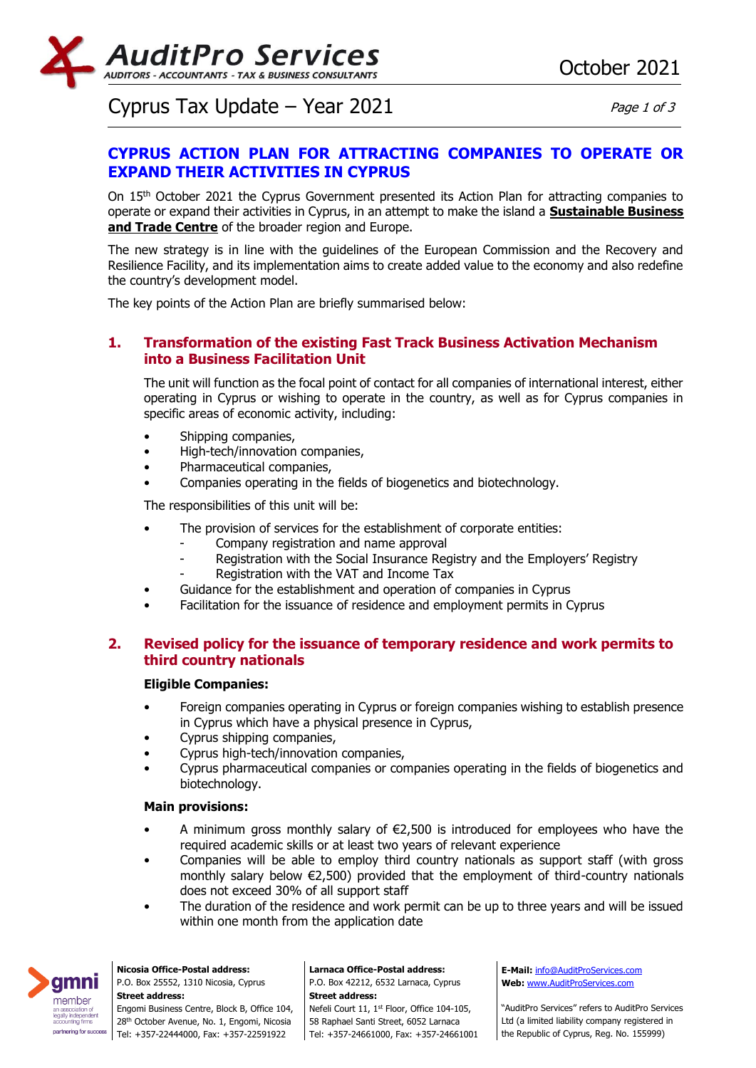

# Cyprus Tax Update – Year  $2021$  Page 1 of 3

# **CYPRUS ACTION PLAN FOR ATTRACTING COMPANIES TO OPERATE OR EXPAND THEIR ACTIVITIES IN CYPRUS**

On 15th October 2021 the Cyprus Government presented its Action Plan for attracting companies to operate or expand their activities in Cyprus, in an attempt to make the island a **Sustainable Business and Trade Centre** of the broader region and Europe.

The new strategy is in line with the guidelines of the European Commission and the Recovery and Resilience Facility, and its implementation aims to create added value to the economy and also redefine the country's development model.

The key points of the Action Plan are briefly summarised below:

## **1. Transformation of the existing Fast Track Business Activation Mechanism into a Business Facilitation Unit**

The unit will function as the focal point of contact for all companies of international interest, either operating in Cyprus or wishing to operate in the country, as well as for Cyprus companies in specific areas of economic activity, including:

- Shipping companies,
- High-tech/innovation companies,
- Pharmaceutical companies,
- Companies operating in the fields of biogenetics and biotechnology.

The responsibilities of this unit will be:

- The provision of services for the establishment of corporate entities:
	- Company registration and name approval
	- Registration with the Social Insurance Registry and the Employers' Registry
	- Registration with the VAT and Income Tax
- Guidance for the establishment and operation of companies in Cyprus
- Facilitation for the issuance of residence and employment permits in Cyprus

## **2. Revised policy for the issuance of temporary residence and work permits to third country nationals**

#### **Eligible Companies:**

- Foreign companies operating in Cyprus or foreign companies wishing to establish presence in Cyprus which have a physical presence in Cyprus,
- Cyprus shipping companies,
- Cyprus high-tech/innovation companies,
- Cyprus pharmaceutical companies or companies operating in the fields of biogenetics and biotechnology.

#### **Main provisions:**

- A minimum gross monthly salary of  $\epsilon$ 2,500 is introduced for employees who have the required academic skills or at least two years of relevant experience
- Companies will be able to employ third country nationals as support staff (with gross monthly salary below €2,500) provided that the employment of third-country nationals does not exceed 30% of all support staff
- The duration of the residence and work permit can be up to three years and will be issued within one month from the application date



**Nicosia Office-Postal address:** P.O. Box 25552, 1310 Nicosia, Cyprus **Street address:** Engomi Business Centre, Block B, Office 104, 28<sup>th</sup> October Avenue, No. 1, Engomi, Nicosia Tel: +357-22444000, Fax: +357-22591922

**Larnaca Office-Postal address:** P.O. Box 42212, 6532 Larnaca, Cyprus **Street address:** Nefeli Court 11, 1st Floor, Office 104-105, 58 Raphael Santi Street, 6052 Larnaca Tel: +357-24661000, Fax: +357-24661001

**E-Mail:** [info@AuditProServices.com](mailto:info@AuditProServices.com) **Web:** [www.AuditProServices.com](http://www.auditproservices.com/)

"AuditPro Services" refers to AuditPro Services Ltd (a limited liability company registered in the Republic of Cyprus, Reg. No. 155999)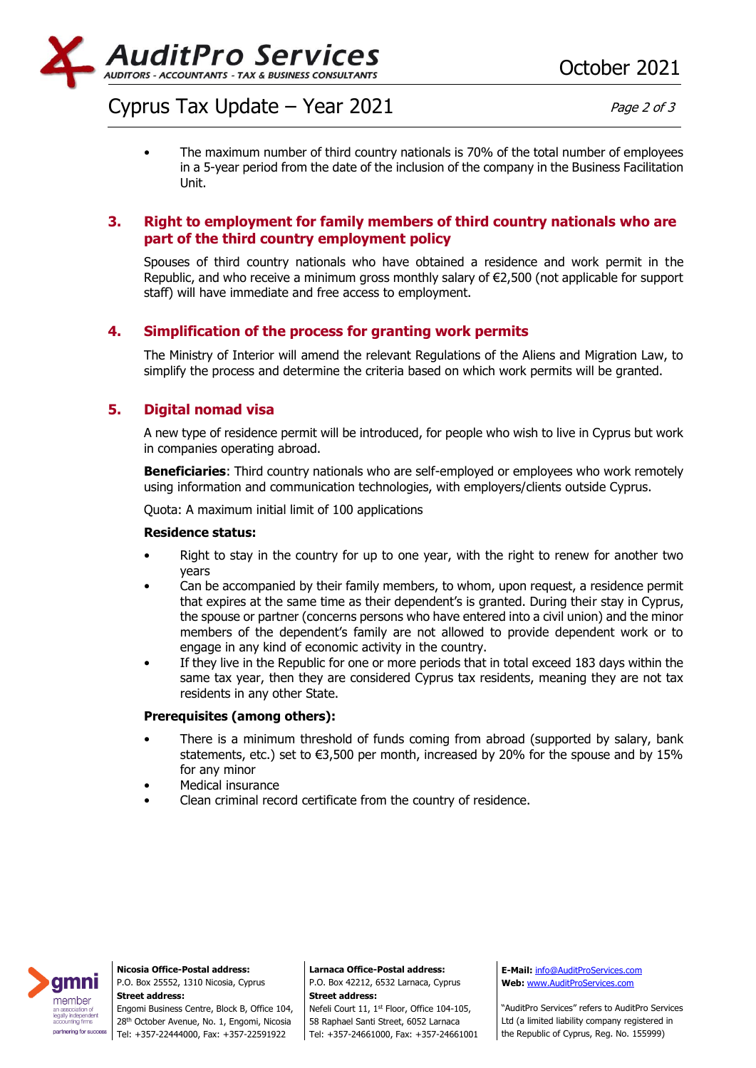

# Cyprus Tax Update – Year  $2021$  Page 2 of 3

• The maximum number of third country nationals is 70% of the total number of employees in a 5-year period from the date of the inclusion of the company in the Business Facilitation Unit.

## **3. Right to employment for family members of third country nationals who are part of the third country employment policy**

Spouses of third country nationals who have obtained a residence and work permit in the Republic, and who receive a minimum gross monthly salary of €2,500 (not applicable for support staff) will have immediate and free access to employment.

## **4. Simplification of the process for granting work permits**

The Ministry of Interior will amend the relevant Regulations of the Aliens and Migration Law, to simplify the process and determine the criteria based on which work permits will be granted.

## **5. Digital nomad visa**

A new type of residence permit will be introduced, for people who wish to live in Cyprus but work in companies operating abroad.

**Beneficiaries**: Third country nationals who are self-employed or employees who work remotely using information and communication technologies, with employers/clients outside Cyprus.

Quota: A maximum initial limit of 100 applications

#### **Residence status:**

- Right to stay in the country for up to one year, with the right to renew for another two years
- Can be accompanied by their family members, to whom, upon request, a residence permit that expires at the same time as their dependent's is granted. During their stay in Cyprus, the spouse or partner (concerns persons who have entered into a civil union) and the minor members of the dependent's family are not allowed to provide dependent work or to engage in any kind of economic activity in the country.
- If they live in the Republic for one or more periods that in total exceed 183 days within the same tax year, then they are considered Cyprus tax residents, meaning they are not tax residents in any other State.

#### **Prerequisites (among others):**

- There is a minimum threshold of funds coming from abroad (supported by salary, bank statements, etc.) set to  $\epsilon$ 3,500 per month, increased by 20% for the spouse and by 15% for any minor
- Medical insurance
- Clean criminal record certificate from the country of residence.



**Nicosia Office-Postal address:** P.O. Box 25552, 1310 Nicosia, Cyprus **Street address:**

Engomi Business Centre, Block B, Office 104, 28<sup>th</sup> October Avenue, No. 1, Engomi, Nicosia Tel: +357-22444000, Fax: +357-22591922

**Larnaca Office-Postal address:** P.O. Box 42212, 6532 Larnaca, Cyprus **Street address:**

Nefeli Court 11, 1st Floor, Office 104-105, 58 Raphael Santi Street, 6052 Larnaca Tel: +357-24661000, Fax: +357-24661001 **E-Mail:** [info@AuditProServices.com](mailto:info@AuditProServices.com) **Web:** [www.AuditProServices.com](http://www.auditproservices.com/)

"AuditPro Services" refers to AuditPro Services Ltd (a limited liability company registered in the Republic of Cyprus, Reg. No. 155999)